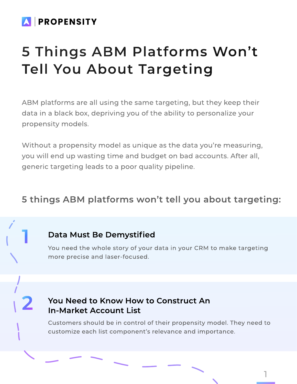# **SPROPENSITY**

# 5 Things ABM Platforms Won't Tell You About Targeting

ABM platforms are all using the same targeting, but they keep their data in a black box, depriving you of the ability to personalize your propensity models.

Without a propensity model as unique as the data you're measuring, you will end up wasting time and budget on bad accounts. After all, generic targeting leads to a poor quality pipeline.

# 5 things ABM platforms won't tell you about targeting:

### Data Must Be Demystified

1

2

You need the whole story of your data in your CRM to make targeting more precise and laser-focused.

# You Need to Know How to Construct An In-Market Account List

Customers should be in control of their propensity model. They need to customize each list component's relevance and importance.

1